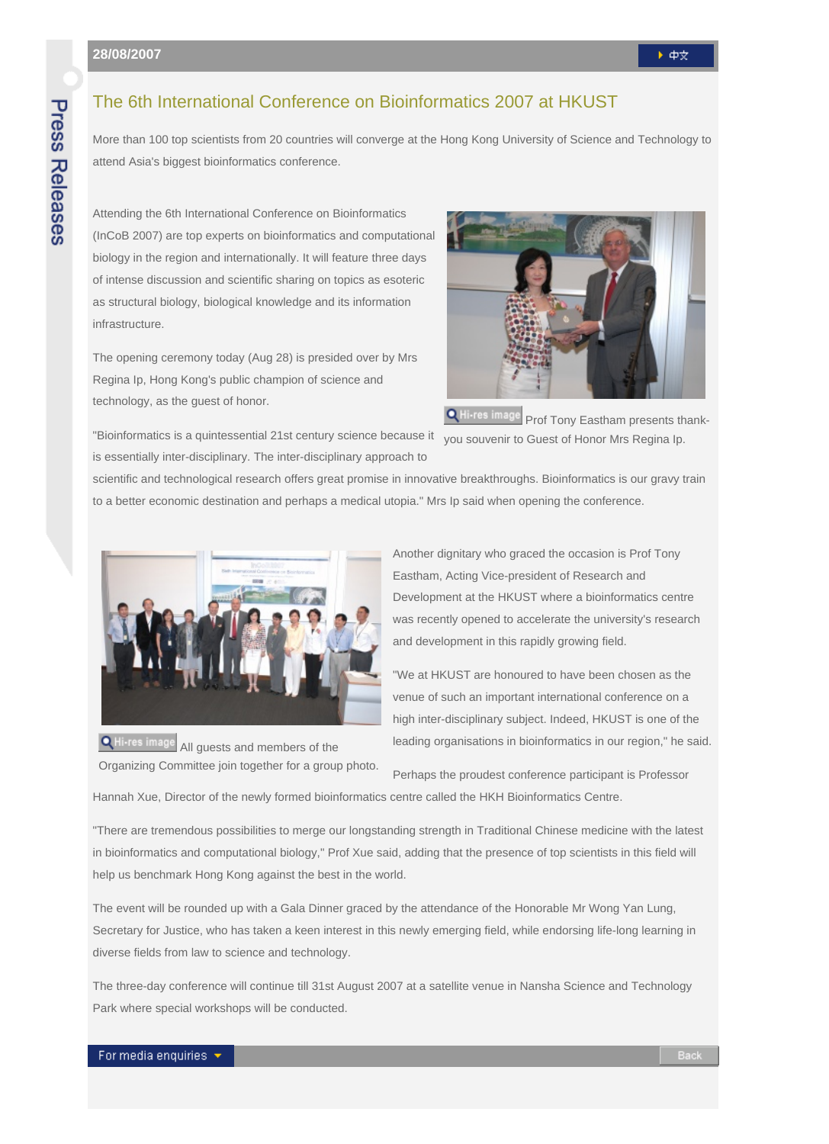## **Press Releases**

## The 6th International Conference on Bioinformatics 2007 at HKUST

More than 100 top scientists from 20 countries will converge at the Hong Kong University of Science and Technology to attend Asia's biggest bioinformatics conference.

Attending the 6th International Conference on Bioinformatics (InCoB 2007) are top experts on bioinformatics and computational biology in the region and internationally. It will feature three days of intense discussion and scientific sharing on topics as esoteric as structural biology, biological knowledge and its information infrastructure.

The opening ceremony today (Aug 28) is presided over by Mrs Regina Ip, Hong Kong's public champion of science and technology, as the guest of honor.



**Q** Hi-res image Prof Tony Eastham presents thankyou souvenir to Guest of Honor Mrs Regina Ip.

"Bioinformatics is a quintessential 21st century science because it is essentially inter-disciplinary. The inter-disciplinary approach to

scientific and technological research offers great promise in innovative breakthroughs. Bioinformatics is our gravy train to a better economic destination and perhaps a medical utopia." Mrs Ip said when opening the conference.



Another dignitary who graced the occasion is Prof Tony Eastham, Acting Vice-president of Research and Development at the HKUST where a bioinformatics centre was recently opened to accelerate the university's research and development in this rapidly growing field.

"We at HKUST are honoured to have been chosen as the venue of such an important international conference on a high inter-disciplinary subject. Indeed, HKUST is one of the leading organisations in bioinformatics in our region," he said.

**Q** Hi-res image All guests and members of the Organizing Committee join together for a group photo.

Perhaps the proudest conference participant is Professor Hannah Xue, Director of the newly formed bioinformatics centre called the HKH Bioinformatics Centre.

"There are tremendous possibilities to merge our longstanding strength in Traditional Chinese medicine with the latest in bioinformatics and computational biology," Prof Xue said, adding that the presence of top scientists in this field will help us benchmark Hong Kong against the best in the world.

The event will be rounded up with a Gala Dinner graced by the attendance of the Honorable Mr Wong Yan Lung, Secretary for Justice, who has taken a keen interest in this newly emerging field, while endorsing life-long learning in diverse fields from law to science and technology.

The three-day conference will continue till 31st August 2007 at a satellite venue in Nansha Science and Technology Park where special workshops will be conducted.